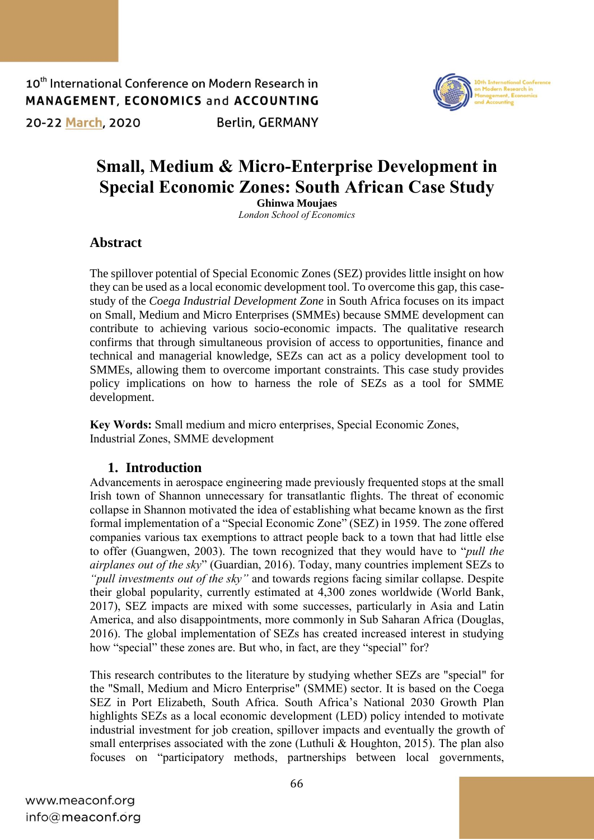10<sup>th</sup> International Conference on Modern Research in **MANAGEMENT, ECONOMICS and ACCOUNTING Berlin, GERMANY** 20-22 March, 2020



# **Small, Medium & Micro-Enterprise Development in Special Economic Zones: South African Case Study**

**Ghinwa Moujaes**

*London School of Economics*

# **Abstract**

The spillover potential of Special Economic Zones (SEZ) provides little insight on how they can be used as a local economic development tool. To overcome this gap, this casestudy of the *Coega Industrial Development Zone* in South Africa focuses on its impact on Small, Medium and Micro Enterprises (SMMEs) because SMME development can contribute to achieving various socio-economic impacts. The qualitative research confirms that through simultaneous provision of access to opportunities, finance and technical and managerial knowledge, SEZs can act as a policy development tool to SMMEs, allowing them to overcome important constraints. This case study provides policy implications on how to harness the role of SEZs as a tool for SMME development.

**Key Words:** Small medium and micro enterprises, Special Economic Zones, Industrial Zones, SMME development

### **1. Introduction**

Advancements in aerospace engineering made previously frequented stops at the small Irish town of Shannon unnecessary for transatlantic flights. The threat of economic collapse in Shannon motivated the idea of establishing what became known as the first formal implementation of a "Special Economic Zone" (SEZ) in 1959. The zone offered companies various tax exemptions to attract people back to a town that had little else to offer (Guangwen, 2003). The town recognized that they would have to "*pull the airplanes out of the sky*" (Guardian, 2016). Today, many countries implement SEZs to *"pull investments out of the sky"* and towards regions facing similar collapse. Despite their global popularity, currently estimated at 4,300 zones worldwide (World Bank, 2017), SEZ impacts are mixed with some successes, particularly in Asia and Latin America, and also disappointments, more commonly in Sub Saharan Africa (Douglas, 2016). The global implementation of SEZs has created increased interest in studying how "special" these zones are. But who, in fact, are they "special" for?

This research contributes to the literature by studying whether SEZs are "special" for the "Small, Medium and Micro Enterprise" (SMME) sector. It is based on the Coega SEZ in Port Elizabeth, South Africa. South Africa's National 2030 Growth Plan highlights SEZs as a local economic development (LED) policy intended to motivate industrial investment for job creation, spillover impacts and eventually the growth of small enterprises associated with the zone (Luthuli & Houghton, 2015). The plan also focuses on "participatory methods, partnerships between local governments,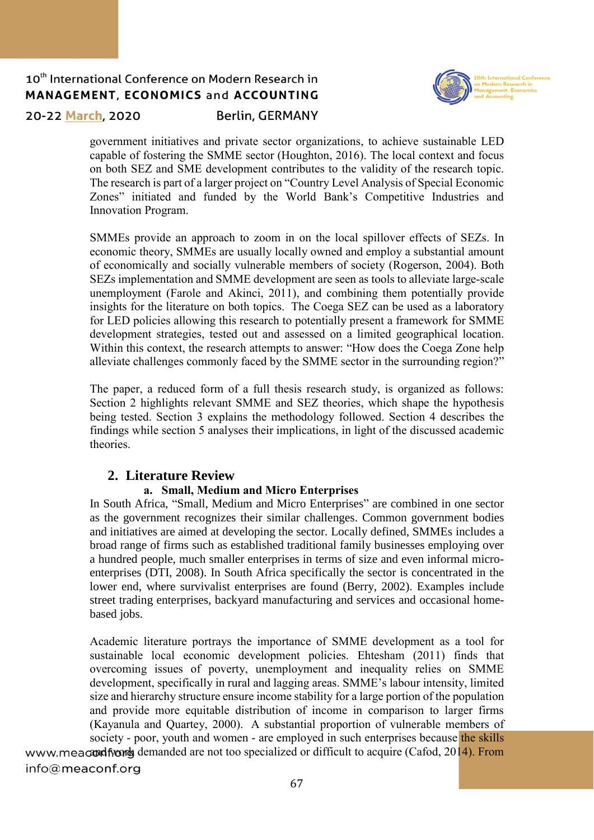

20-22 March, 2020

### **Berlin, GERMANY**

government initiatives and private sector organizations, to achieve sustainable LED capable of fostering the SMME sector (Houghton, 2016). The local context and focus on both SEZ and SME development contributes to the validity of the research topic. The research is part of a larger project on "Country Level Analysis of Special Economic Zones" initiated and funded by the World Bank's Competitive Industries and Innovation Program.

SMMEs provide an approach to zoom in on the local spillover effects of SEZs. In economic theory, SMMEs are usually locally owned and employ a substantial amount of economically and socially vulnerable members of society (Rogerson, 2004). Both SEZs implementation and SMME development are seen as tools to alleviate large-scale unemployment (Farole and Akinci, 2011), and combining them potentially provide insights for the literature on both topics. The Coega SEZ can be used as a laboratory for LED policies allowing this research to potentially present a framework for SMME development strategies, tested out and assessed on a limited geographical location. Within this context, the research attempts to answer: "How does the Coega Zone help alleviate challenges commonly faced by the SMME sector in the surrounding region?"

The paper, a reduced form of a full thesis research study, is organized as follows: Section 2 highlights relevant SMME and SEZ theories, which shape the hypothesis being tested. Section 3 explains the methodology followed. Section 4 describes the findings while section 5 analyses their implications, in light of the discussed academic theories.

### **2. Literature Review**

### **a. Small, Medium and Micro Enterprises**

In South Africa, "Small, Medium and Micro Enterprises" are combined in one sector as the government recognizes their similar challenges. Common government bodies and initiatives are aimed at developing the sector. Locally defined, SMMEs includes a broad range of firms such as established traditional family businesses employing over a hundred people, much smaller enterprises in terms of size and even informal microenterprises (DTI, 2008). In South Africa specifically the sector is concentrated in the lower end, where survivalist enterprises are found (Berry, 2002). Examples include street trading enterprises, backyard manufacturing and services and occasional homebased jobs.

Academic literature portrays the importance of SMME development as a tool for sustainable local economic development policies. Ehtesham (2011) finds that overcoming issues of poverty, unemployment and inequality relies on SMME development, specifically in rural and lagging areas. SMME's labour intensity, limited size and hierarchy structure ensure income stability for a large portion of the population and provide more equitable distribution of income in comparison to larger firms (Kayanula and Quartey, 2000). A substantial proportion of vulnerable members of society - poor, youth and women - are employed in such enterprises because the skills www.meacond from the demanded are not too specialized or difficult to acquire (Cafod,  $2014$ ). From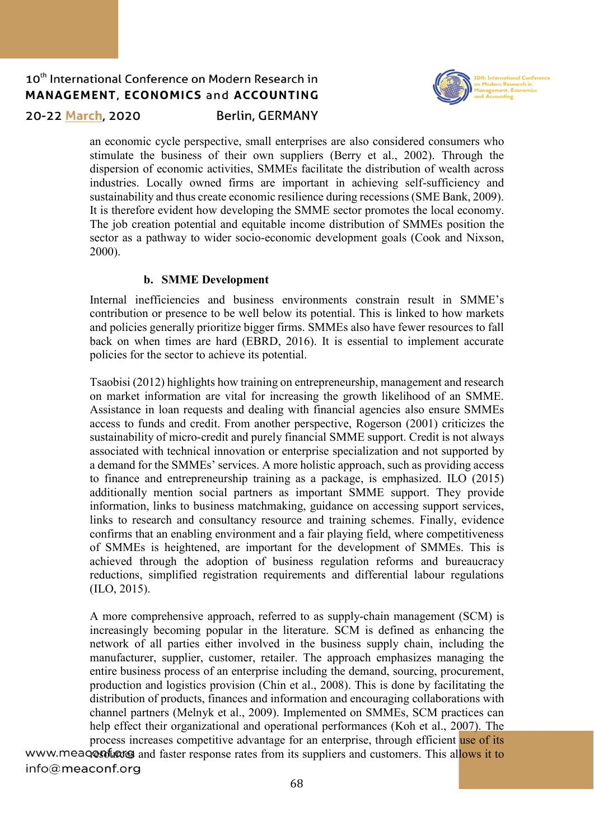

20-22 March, 2020

### **Berlin, GERMANY**

an economic cycle perspective, small enterprises are also considered consumers who stimulate the business of their own suppliers (Berry et al., 2002). Through the dispersion of economic activities, SMMEs facilitate the distribution of wealth across industries. Locally owned firms are important in achieving self-sufficiency and sustainability and thus create economic resilience during recessions (SME Bank, 2009). It is therefore evident how developing the SMME sector promotes the local economy. The job creation potential and equitable income distribution of SMMEs position the sector as a pathway to wider socio-economic development goals (Cook and Nixson, 2000).

#### **b. SMME Development**

Internal inefficiencies and business environments constrain result in SMME's contribution or presence to be well below its potential. This is linked to how markets and policies generally prioritize bigger firms. SMMEs also have fewer resources to fall back on when times are hard (EBRD, 2016). It is essential to implement accurate policies for the sector to achieve its potential.

Tsaobisi (2012) highlights how training on entrepreneurship, management and research on market information are vital for increasing the growth likelihood of an SMME. Assistance in loan requests and dealing with financial agencies also ensure SMMEs access to funds and credit. From another perspective, Rogerson (2001) criticizes the sustainability of micro-credit and purely financial SMME support. Credit is not always associated with technical innovation or enterprise specialization and not supported by a demand for the SMMEs' services. A more holistic approach, such as providing access to finance and entrepreneurship training as a package, is emphasized. ILO (2015) additionally mention social partners as important SMME support. They provide information, links to business matchmaking, guidance on accessing support services, links to research and consultancy resource and training schemes. Finally, evidence confirms that an enabling environment and a fair playing field, where competitiveness of SMMEs is heightened, are important for the development of SMMEs. This is achieved through the adoption of business regulation reforms and bureaucracy reductions, simplified registration requirements and differential labour regulations (ILO, 2015).

A more comprehensive approach, referred to as supply-chain management (SCM) is increasingly becoming popular in the literature. SCM is defined as enhancing the network of all parties either involved in the business supply chain, including the manufacturer, supplier, customer, retailer. The approach emphasizes managing the entire business process of an enterprise including the demand, sourcing, procurement, production and logistics provision (Chin et al., 2008). This is done by facilitating the distribution of products, finances and information and encouraging collaborations with channel partners (Melnyk et al., 2009). Implemented on SMMEs, SCM practices can help effect their organizational and operational performances (Koh et al., 2007). The process increases competitive advantage for an enterprise, through efficient use of its

www.meaqentiers and faster response rates from its suppliers and customers. This allows it to info@meaconf.org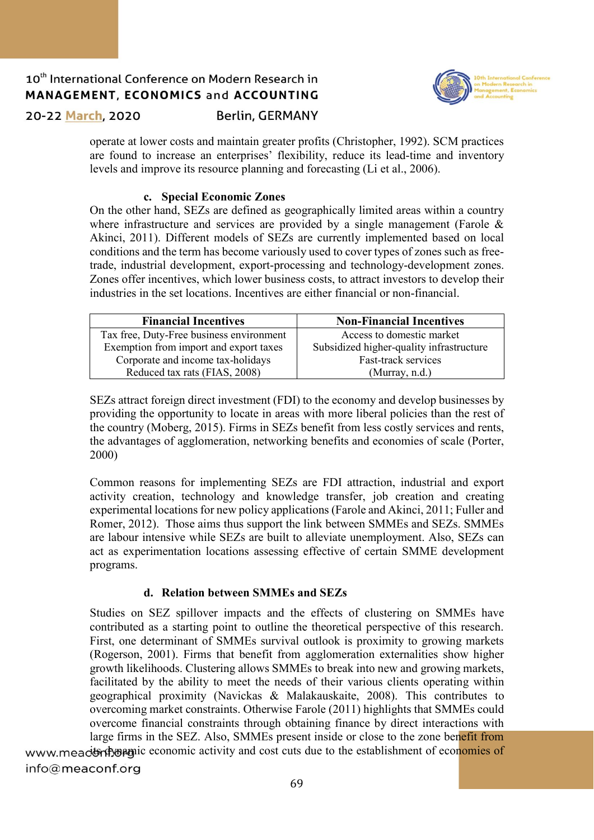

20-22 March, 2020

### **Berlin, GERMANY**

operate at lower costs and maintain greater profits (Christopher, 1992). SCM practices are found to increase an enterprises' flexibility, reduce its lead-time and inventory levels and improve its resource planning and forecasting (Li et al., 2006).

#### **c. Special Economic Zones**

On the other hand, SEZs are defined as geographically limited areas within a country where infrastructure and services are provided by a single management (Farole & Akinci, 2011). Different models of SEZs are currently implemented based on local conditions and the term has become variously used to cover types of zones such as freetrade, industrial development, export-processing and technology-development zones. Zones offer incentives, which lower business costs, to attract investors to develop their industries in the set locations. Incentives are either financial or non-financial.

| <b>Financial Incentives</b>              | <b>Non-Financial Incentives</b>          |
|------------------------------------------|------------------------------------------|
| Tax free, Duty-Free business environment | Access to domestic market                |
| Exemption from import and export taxes   | Subsidized higher-quality infrastructure |
| Corporate and income tax-holidays        | Fast-track services                      |
| Reduced tax rats (FIAS, 2008)            | (Murray, n.d.)                           |

SEZs attract foreign direct investment (FDI) to the economy and develop businesses by providing the opportunity to locate in areas with more liberal policies than the rest of the country (Moberg, 2015). Firms in SEZs benefit from less costly services and rents, the advantages of agglomeration, networking benefits and economies of scale (Porter, 2000)

Common reasons for implementing SEZs are FDI attraction, industrial and export activity creation, technology and knowledge transfer, job creation and creating experimental locations for new policy applications (Farole and Akinci, 2011; Fuller and Romer, 2012). Those aims thus support the link between SMMEs and SEZs. SMMEs are labour intensive while SEZs are built to alleviate unemployment. Also, SEZs can act as experimentation locations assessing effective of certain SMME development programs.

### **d. Relation between SMMEs and SEZs**

Studies on SEZ spillover impacts and the effects of clustering on SMMEs have contributed as a starting point to outline the theoretical perspective of this research. First, one determinant of SMMEs survival outlook is proximity to growing markets (Rogerson, 2001). Firms that benefit from agglomeration externalities show higher growth likelihoods. Clustering allows SMMEs to break into new and growing markets, facilitated by the ability to meet the needs of their various clients operating within geographical proximity (Navickas & Malakauskaite, 2008). This contributes to overcoming market constraints. Otherwise Farole (2011) highlights that SMMEs could overcome financial constraints through obtaining finance by direct interactions with large firms in the SEZ. Also, SMMEs present inside or close to the zone benefit from

www.meactory open conomic activity and cost cuts due to the establishment of economies of info@meaconf.org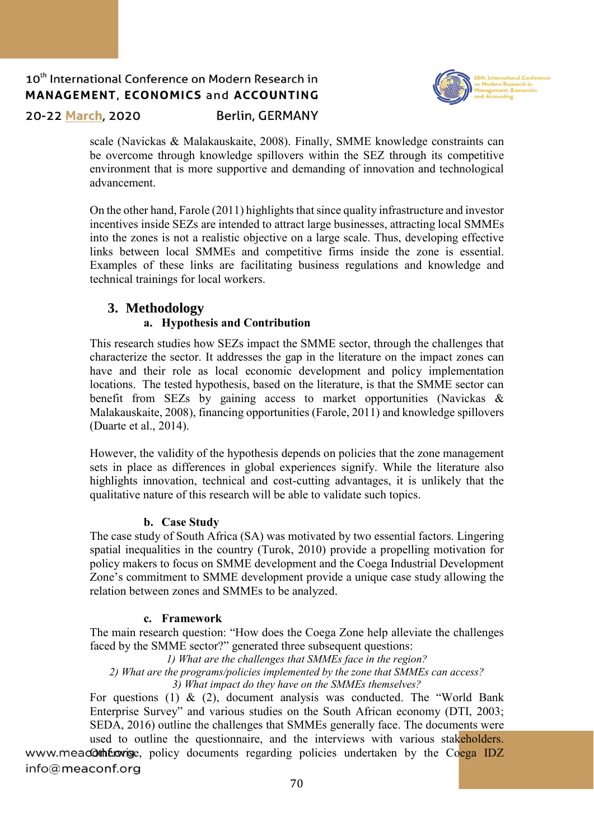

20-22 March, 2020

### **Berlin, GERMANY**

scale (Navickas & Malakauskaite, 2008). Finally, SMME knowledge constraints can be overcome through knowledge spillovers within the SEZ through its competitive environment that is more supportive and demanding of innovation and technological advancement.

On the other hand, Farole (2011) highlights that since quality infrastructure and investor incentives inside SEZs are intended to attract large businesses, attracting local SMMEs into the zones is not a realistic objective on a large scale. Thus, developing effective links between local SMMEs and competitive firms inside the zone is essential. Examples of these links are facilitating business regulations and knowledge and technical trainings for local workers.

# **3. Methodology**

### **a. Hypothesis and Contribution**

This research studies how SEZs impact the SMME sector, through the challenges that characterize the sector. It addresses the gap in the literature on the impact zones can have and their role as local economic development and policy implementation locations. The tested hypothesis, based on the literature, is that the SMME sector can benefit from SEZs by gaining access to market opportunities (Navickas & Malakauskaite, 2008), financing opportunities (Farole, 2011) and knowledge spillovers (Duarte et al., 2014).

However, the validity of the hypothesis depends on policies that the zone management sets in place as differences in global experiences signify. While the literature also highlights innovation, technical and cost-cutting advantages, it is unlikely that the qualitative nature of this research will be able to validate such topics.

### **b. Case Study**

The case study of South Africa (SA) was motivated by two essential factors. Lingering spatial inequalities in the country (Turok, 2010) provide a propelling motivation for policy makers to focus on SMME development and the Coega Industrial Development Zone's commitment to SMME development provide a unique case study allowing the relation between zones and SMMEs to be analyzed.

### **c. Framework**

The main research question: "How does the Coega Zone help alleviate the challenges faced by the SMME sector?" generated three subsequent questions:

*1) What are the challenges that SMMEs face in the region?*

*2) What are the programs/policies implemented by the zone that SMMEs can access?*

*3) What impact do they have on the SMMEs themselves?*

For questions (1)  $\&$  (2), document analysis was conducted. The "World Bank" Enterprise Survey" and various studies on the South African economy (DTI, 2003; SEDA, 2016) outline the challenges that SMMEs generally face. The documents were

used to outline the questionnaire, and the interviews with various stakeholders. www.meacotherwise, policy documents regarding policies undertaken by the Coega IDZ info@meaconf.org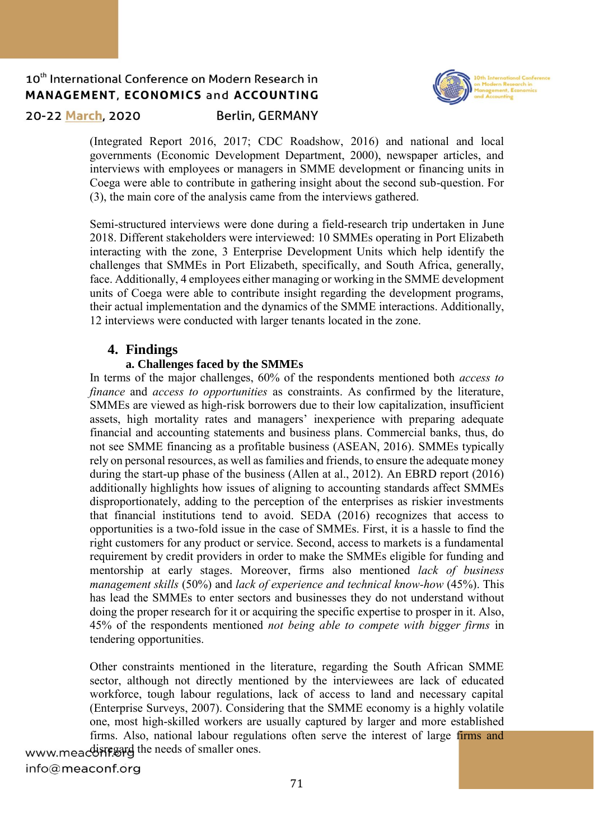

20-22 March, 2020

#### **Berlin, GERMANY**

(Integrated Report 2016, 2017; CDC Roadshow, 2016) and national and local governments (Economic Development Department, 2000), newspaper articles, and interviews with employees or managers in SMME development or financing units in Coega were able to contribute in gathering insight about the second sub-question. For (3), the main core of the analysis came from the interviews gathered.

Semi-structured interviews were done during a field-research trip undertaken in June 2018. Different stakeholders were interviewed: 10 SMMEs operating in Port Elizabeth interacting with the zone, 3 Enterprise Development Units which help identify the challenges that SMMEs in Port Elizabeth, specifically, and South Africa, generally, face. Additionally, 4 employees either managing or working in the SMME development units of Coega were able to contribute insight regarding the development programs, their actual implementation and the dynamics of the SMME interactions. Additionally, 12 interviews were conducted with larger tenants located in the zone.

### **4. Findings**

### **a. Challenges faced by the SMMEs**

In terms of the major challenges, 60% of the respondents mentioned both *access to finance* and *access to opportunities* as constraints. As confirmed by the literature, SMMEs are viewed as high-risk borrowers due to their low capitalization, insufficient assets, high mortality rates and managers' inexperience with preparing adequate financial and accounting statements and business plans. Commercial banks, thus, do not see SMME financing as a profitable business (ASEAN, 2016). SMMEs typically rely on personal resources, as well as families and friends, to ensure the adequate money during the start-up phase of the business (Allen at al., 2012). An EBRD report (2016) additionally highlights how issues of aligning to accounting standards affect SMMEs disproportionately, adding to the perception of the enterprises as riskier investments that financial institutions tend to avoid. SEDA (2016) recognizes that access to opportunities is a two-fold issue in the case of SMMEs. First, it is a hassle to find the right customers for any product or service. Second, access to markets is a fundamental requirement by credit providers in order to make the SMMEs eligible for funding and mentorship at early stages. Moreover, firms also mentioned *lack of business management skills* (50%) and *lack of experience and technical know-how* (45%). This has lead the SMMEs to enter sectors and businesses they do not understand without doing the proper research for it or acquiring the specific expertise to prosper in it. Also, 45% of the respondents mentioned *not being able to compete with bigger firms* in tendering opportunities.

Other constraints mentioned in the literature, regarding the South African SMME sector, although not directly mentioned by the interviewees are lack of educated workforce, tough labour regulations, lack of access to land and necessary capital (Enterprise Surveys, 2007). Considering that the SMME economy is a highly volatile one, most high-skilled workers are usually captured by larger and more established firms. Also, national labour regulations often serve the interest of large firms and

www.meacdiregard the needs of smaller ones. info@meaconf.org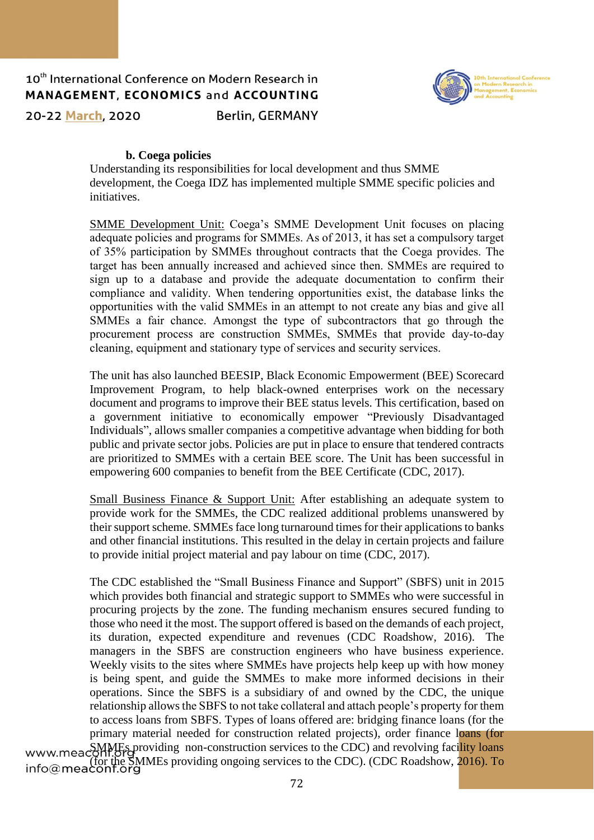

**Berlin, GERMANY** 



#### **b. Coega policies**

Understanding its responsibilities for local development and thus SMME development, the Coega IDZ has implemented multiple SMME specific policies and initiatives.

SMME Development Unit: Coega's SMME Development Unit focuses on placing adequate policies and programs for SMMEs. As of 2013, it has set a compulsory target of 35% participation by SMMEs throughout contracts that the Coega provides. The target has been annually increased and achieved since then. SMMEs are required to sign up to a database and provide the adequate documentation to confirm their compliance and validity. When tendering opportunities exist, the database links the opportunities with the valid SMMEs in an attempt to not create any bias and give all SMMEs a fair chance. Amongst the type of subcontractors that go through the procurement process are construction SMMEs, SMMEs that provide day-to-day cleaning, equipment and stationary type of services and security services.

The unit has also launched BEESIP, Black Economic Empowerment (BEE) Scorecard Improvement Program, to help black-owned enterprises work on the necessary document and programs to improve their BEE status levels. This certification, based on a government initiative to economically empower "Previously Disadvantaged Individuals", allows smaller companies a competitive advantage when bidding for both public and private sector jobs. Policies are put in place to ensure that tendered contracts are prioritized to SMMEs with a certain BEE score. The Unit has been successful in empowering 600 companies to benefit from the BEE Certificate (CDC, 2017).

Small Business Finance & Support Unit: After establishing an adequate system to provide work for the SMMEs, the CDC realized additional problems unanswered by their support scheme. SMMEs face long turnaround times for their applications to banks and other financial institutions. This resulted in the delay in certain projects and failure to provide initial project material and pay labour on time (CDC, 2017).

The CDC established the "Small Business Finance and Support" (SBFS) unit in 2015 which provides both financial and strategic support to SMMEs who were successful in procuring projects by the zone. The funding mechanism ensures secured funding to those who need it the most. The support offered is based on the demands of each project, its duration, expected expenditure and revenues (CDC Roadshow, 2016). The managers in the SBFS are construction engineers who have business experience. Weekly visits to the sites where SMMEs have projects help keep up with how money is being spent, and guide the SMMEs to make more informed decisions in their operations. Since the SBFS is a subsidiary of and owned by the CDC, the unique relationship allows the SBFS to not take collateral and attach people's property for them to access loans from SBFS. Types of loans offered are: bridging finance loans (for the primary material needed for construction related projects), order finance loans (for www.meaconfl.org/ www.mea.com.org<br>(for the SMMEs providing ongoing services to the CDC). (CDC Roadshow, 2016). To<br>info@meaconf.org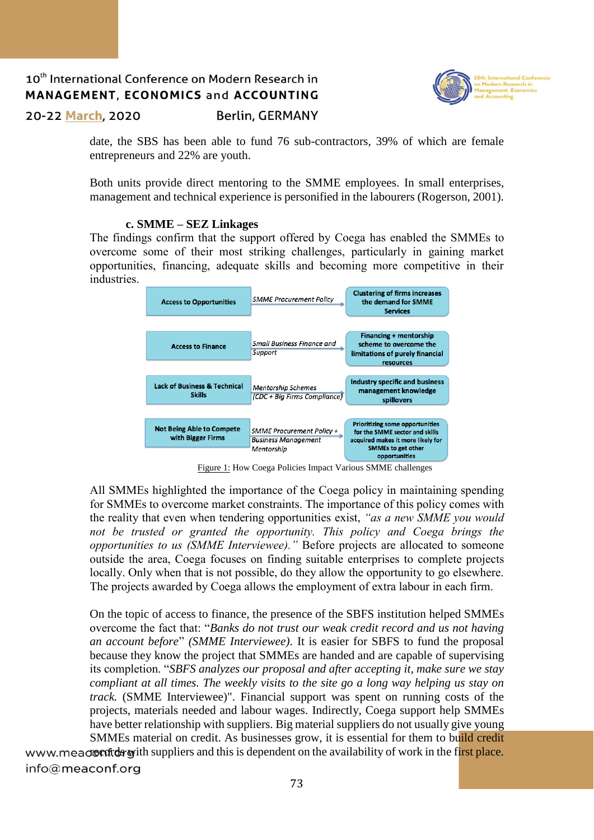

20-22 March, 2020

**Berlin, GERMANY** 

date, the SBS has been able to fund 76 sub-contractors, 39% of which are female entrepreneurs and 22% are youth.

Both units provide direct mentoring to the SMME employees. In small enterprises, management and technical experience is personified in the labourers (Rogerson, 2001).

#### **c. SMME – SEZ Linkages**

The findings confirm that the support offered by Coega has enabled the SMMEs to overcome some of their most striking challenges, particularly in gaining market opportunities, financing, adequate skills and becoming more competitive in their industries.



Figure 1: How Coega Policies Impact Various SMME challenges

All SMMEs highlighted the importance of the Coega policy in maintaining spending for SMMEs to overcome market constraints. The importance of this policy comes with the reality that even when tendering opportunities exist, *"as a new SMME you would not be trusted or granted the opportunity. This policy and Coega brings the opportunities to us (SMME Interviewee)."* Before projects are allocated to someone outside the area, Coega focuses on finding suitable enterprises to complete projects locally. Only when that is not possible, do they allow the opportunity to go elsewhere. The projects awarded by Coega allows the employment of extra labour in each firm.

On the topic of access to finance, the presence of the SBFS institution helped SMMEs overcome the fact that: "*Banks do not trust our weak credit record and us not having an account before*" *(SMME Interviewee)*. It is easier for SBFS to fund the proposal because they know the project that SMMEs are handed and are capable of supervising its completion. "*SBFS analyzes our proposal and after accepting it, make sure we stay compliant at all times. The weekly visits to the site go a long way helping us stay on track.* (SMME Interviewee)". Financial support was spent on running costs of the projects, materials needed and labour wages. Indirectly, Coega support help SMMEs have better relationship with suppliers. Big material suppliers do not usually give young SMMEs material on credit. As businesses grow, it is essential for them to build credit

www.meacrocords with suppliers and this is dependent on the availability of work in the first place. info@meaconf.org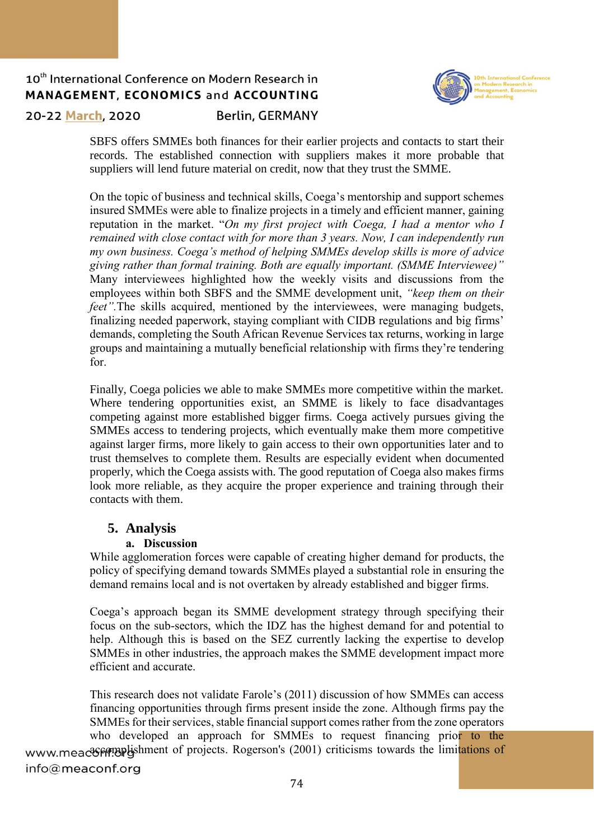

20-22 March, 2020

### **Berlin, GERMANY**

SBFS offers SMMEs both finances for their earlier projects and contacts to start their records. The established connection with suppliers makes it more probable that suppliers will lend future material on credit, now that they trust the SMME.

On the topic of business and technical skills, Coega's mentorship and support schemes insured SMMEs were able to finalize projects in a timely and efficient manner, gaining reputation in the market. "*On my first project with Coega, I had a mentor who I remained with close contact with for more than 3 years. Now, I can independently run my own business. Coega's method of helping SMMEs develop skills is more of advice giving rather than formal training. Both are equally important. (SMME Interviewee)"*  Many interviewees highlighted how the weekly visits and discussions from the employees within both SBFS and the SMME development unit, *"keep them on their feet".*The skills acquired, mentioned by the interviewees, were managing budgets, finalizing needed paperwork, staying compliant with CIDB regulations and big firms' demands, completing the South African Revenue Services tax returns, working in large groups and maintaining a mutually beneficial relationship with firms they're tendering for.

Finally, Coega policies we able to make SMMEs more competitive within the market. Where tendering opportunities exist, an SMME is likely to face disadvantages competing against more established bigger firms. Coega actively pursues giving the SMMEs access to tendering projects, which eventually make them more competitive against larger firms, more likely to gain access to their own opportunities later and to trust themselves to complete them. Results are especially evident when documented properly, which the Coega assists with. The good reputation of Coega also makes firms look more reliable, as they acquire the proper experience and training through their contacts with them.

### **5. Analysis**

### **a. Discussion**

While agglomeration forces were capable of creating higher demand for products, the policy of specifying demand towards SMMEs played a substantial role in ensuring the demand remains local and is not overtaken by already established and bigger firms.

Coega's approach began its SMME development strategy through specifying their focus on the sub-sectors, which the IDZ has the highest demand for and potential to help. Although this is based on the SEZ currently lacking the expertise to develop SMMEs in other industries, the approach makes the SMME development impact more efficient and accurate.

This research does not validate Farole's (2011) discussion of how SMMEs can access financing opportunities through firms present inside the zone. Although firms pay the SMMEs for their services, stable financial support comes rather from the zone operators who developed an approach for SMMEs to request financing prior to the www.meacomplishment of projects. Rogerson's (2001) criticisms towards the limitations of info@meaconf.org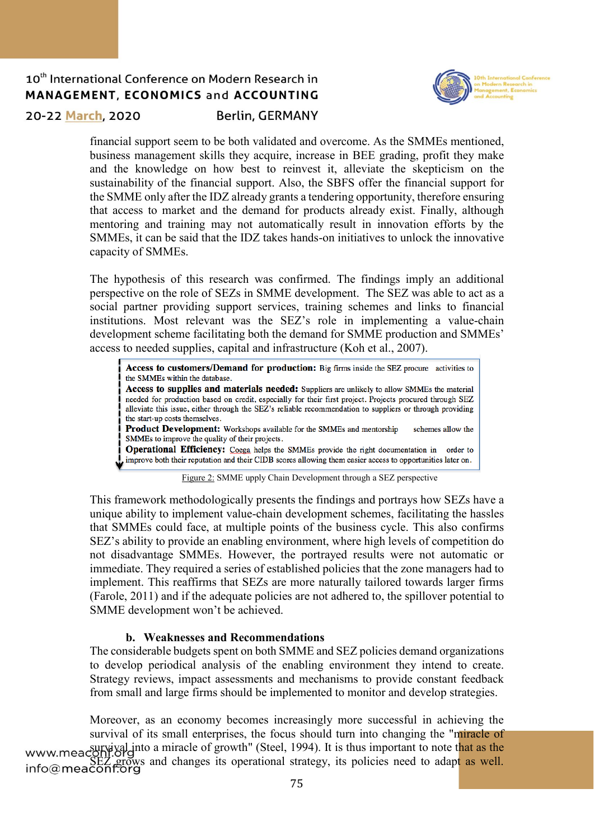

20-22 March, 2020

### **Berlin, GERMANY**

financial support seem to be both validated and overcome. As the SMMEs mentioned, business management skills they acquire, increase in BEE grading, profit they make and the knowledge on how best to reinvest it, alleviate the skepticism on the sustainability of the financial support. Also, the SBFS offer the financial support for the SMME only after the IDZ already grants a tendering opportunity, therefore ensuring that access to market and the demand for products already exist. Finally, although mentoring and training may not automatically result in innovation efforts by the SMMEs, it can be said that the IDZ takes hands-on initiatives to unlock the innovative capacity of SMMEs.

The hypothesis of this research was confirmed. The findings imply an additional perspective on the role of SEZs in SMME development. The SEZ was able to act as a social partner providing support services, training schemes and links to financial institutions. Most relevant was the SEZ's role in implementing a value-chain development scheme facilitating both the demand for SMME production and SMMEs' access to needed supplies, capital and infrastructure (Koh et al., 2007).

Access to customers/Demand for production: Big firms inside the SEZ procure activities to the SMMEs within the database. Access to supplies and materials needed: Suppliers are unlikely to allow SMMEs the material needed for production based on credit, especially for their first project. Projects procured through SEZ alleviate this issue, either through the SEZ's reliable recommendation to suppliers or through providing the start-up costs themselves. Product Development: Workshops available for the SMMEs and mentorship schemes allow the SMMEs to improve the quality of their projects. Operational Efficiency: Coega helps the SMMEs provide the right documentation in order to improve both their reputation and their CIDB scores allowing them easier access to opportunities later on.

Figure 2: SMME upply Chain Development through a SEZ perspective

This framework methodologically presents the findings and portrays how SEZs have a unique ability to implement value-chain development schemes, facilitating the hassles that SMMEs could face, at multiple points of the business cycle. This also confirms SEZ's ability to provide an enabling environment, where high levels of competition do not disadvantage SMMEs. However, the portrayed results were not automatic or immediate. They required a series of established policies that the zone managers had to implement. This reaffirms that SEZs are more naturally tailored towards larger firms (Farole, 2011) and if the adequate policies are not adhered to, the spillover potential to SMME development won't be achieved.

### **b. Weaknesses and Recommendations**

The considerable budgets spent on both SMME and SEZ policies demand organizations to develop periodical analysis of the enabling environment they intend to create. Strategy reviews, impact assessments and mechanisms to provide constant feedback from small and large firms should be implemented to monitor and develop strategies.

Moreover, as an economy becomes increasingly more successful in achieving the survival of its small enterprises, the focus should turn into changing the "miracle of www.meaconfl.org SEZ grows and changes its operational strategy, its policies need to adapt as well.<br>info@meaconf.org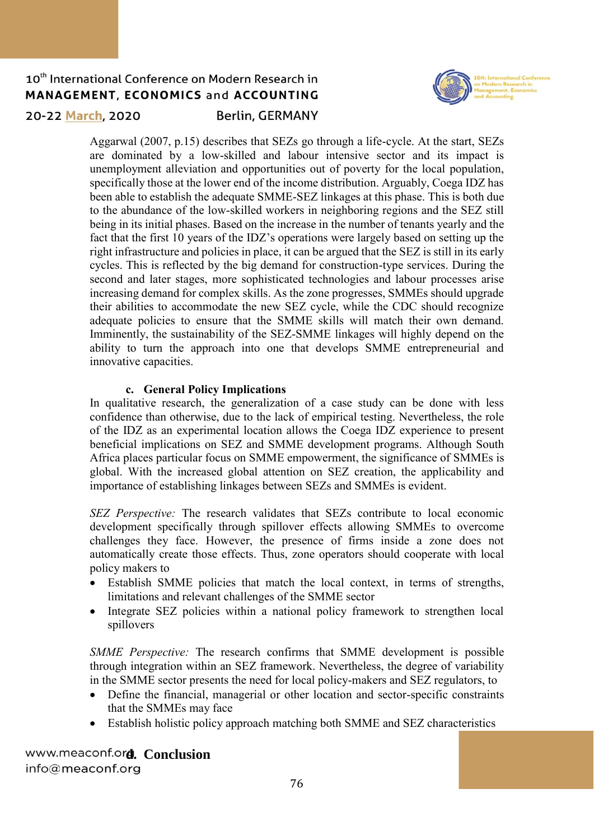

20-22 March, 2020

### **Berlin, GERMANY**

Aggarwal (2007, p.15) describes that SEZs go through a life-cycle. At the start, SEZs are dominated by a low-skilled and labour intensive sector and its impact is unemployment alleviation and opportunities out of poverty for the local population, specifically those at the lower end of the income distribution. Arguably, Coega IDZ has been able to establish the adequate SMME-SEZ linkages at this phase. This is both due to the abundance of the low-skilled workers in neighboring regions and the SEZ still being in its initial phases. Based on the increase in the number of tenants yearly and the fact that the first 10 years of the IDZ's operations were largely based on setting up the right infrastructure and policies in place, it can be argued that the SEZ is still in its early cycles. This is reflected by the big demand for construction-type services. During the second and later stages, more sophisticated technologies and labour processes arise increasing demand for complex skills. As the zone progresses, SMMEs should upgrade their abilities to accommodate the new SEZ cycle, while the CDC should recognize adequate policies to ensure that the SMME skills will match their own demand. Imminently, the sustainability of the SEZ-SMME linkages will highly depend on the ability to turn the approach into one that develops SMME entrepreneurial and innovative capacities.

### **c. General Policy Implications**

In qualitative research, the generalization of a case study can be done with less confidence than otherwise, due to the lack of empirical testing. Nevertheless, the role of the IDZ as an experimental location allows the Coega IDZ experience to present beneficial implications on SEZ and SMME development programs. Although South Africa places particular focus on SMME empowerment, the significance of SMMEs is global. With the increased global attention on SEZ creation, the applicability and importance of establishing linkages between SEZs and SMMEs is evident.

*SEZ Perspective:* The research validates that SEZs contribute to local economic development specifically through spillover effects allowing SMMEs to overcome challenges they face. However, the presence of firms inside a zone does not automatically create those effects. Thus, zone operators should cooperate with local policy makers to

- Establish SMME policies that match the local context, in terms of strengths, limitations and relevant challenges of the SMME sector
- Integrate SEZ policies within a national policy framework to strengthen local spillovers

*SMME Perspective:* The research confirms that SMME development is possible through integration within an SEZ framework. Nevertheless, the degree of variability in the SMME sector presents the need for local policy-makers and SEZ regulators, to

- Define the financial, managerial or other location and sector-specific constraints that the SMMEs may face
- Establish holistic policy approach matching both SMME and SEZ characteristics

www.meaconf.ord. Conclusion info@meaconf.org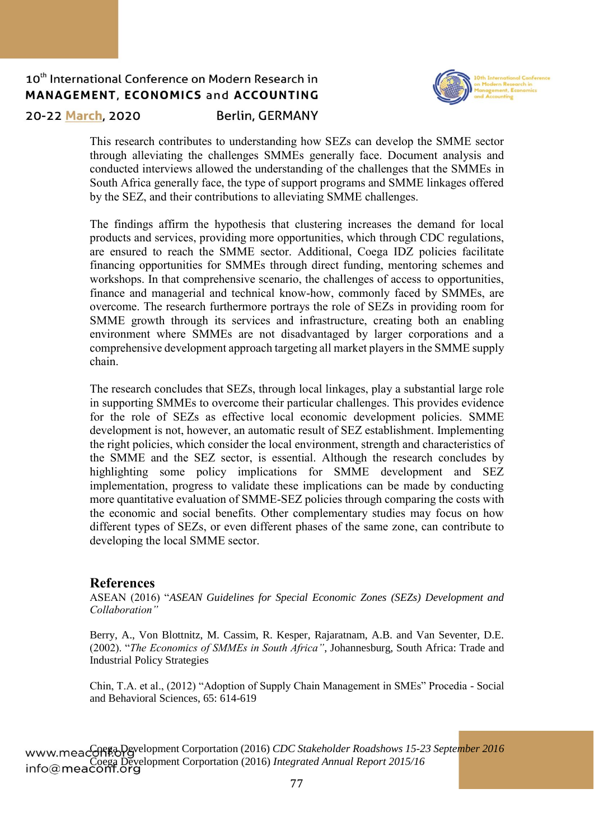

20-22 March, 2020

### **Berlin, GERMANY**

This research contributes to understanding how SEZs can develop the SMME sector through alleviating the challenges SMMEs generally face. Document analysis and conducted interviews allowed the understanding of the challenges that the SMMEs in South Africa generally face, the type of support programs and SMME linkages offered by the SEZ, and their contributions to alleviating SMME challenges.

The findings affirm the hypothesis that clustering increases the demand for local products and services, providing more opportunities, which through CDC regulations, are ensured to reach the SMME sector. Additional, Coega IDZ policies facilitate financing opportunities for SMMEs through direct funding, mentoring schemes and workshops. In that comprehensive scenario, the challenges of access to opportunities, finance and managerial and technical know-how, commonly faced by SMMEs, are overcome. The research furthermore portrays the role of SEZs in providing room for SMME growth through its services and infrastructure, creating both an enabling environment where SMMEs are not disadvantaged by larger corporations and a comprehensive development approach targeting all market players in the SMME supply chain.

The research concludes that SEZs, through local linkages, play a substantial large role in supporting SMMEs to overcome their particular challenges. This provides evidence for the role of SEZs as effective local economic development policies. SMME development is not, however, an automatic result of SEZ establishment. Implementing the right policies, which consider the local environment, strength and characteristics of the SMME and the SEZ sector, is essential. Although the research concludes by highlighting some policy implications for SMME development and SEZ implementation, progress to validate these implications can be made by conducting more quantitative evaluation of SMME-SEZ policies through comparing the costs with the economic and social benefits. Other complementary studies may focus on how different types of SEZs, or even different phases of the same zone, can contribute to developing the local SMME sector.

### **References**

ASEAN (2016) "*ASEAN Guidelines for Special Economic Zones (SEZs) Development and Collaboration"* 

Berry, A., Von Blottnitz, M. Cassim, R. Kesper, Rajaratnam, A.B. and Van Seventer, D.E. (2002). "*The Economics of SMMEs in South Africa"*, Johannesburg, South Africa: Trade and Industrial Policy Strategies

Chin, T.A. et al., (2012) "Adoption of Supply Chain Management in SMEs" Procedia - Social and Behavioral Sciences, 65: 614-619

www.meacoff<sub>E<sup>3D</sup>evelopment Corportation (2016) *CDC Stakeholder Roadshows 15-23 September 2016*</sub> Coega Development Corportation (2016) *Integrated Annual Report 2015/16*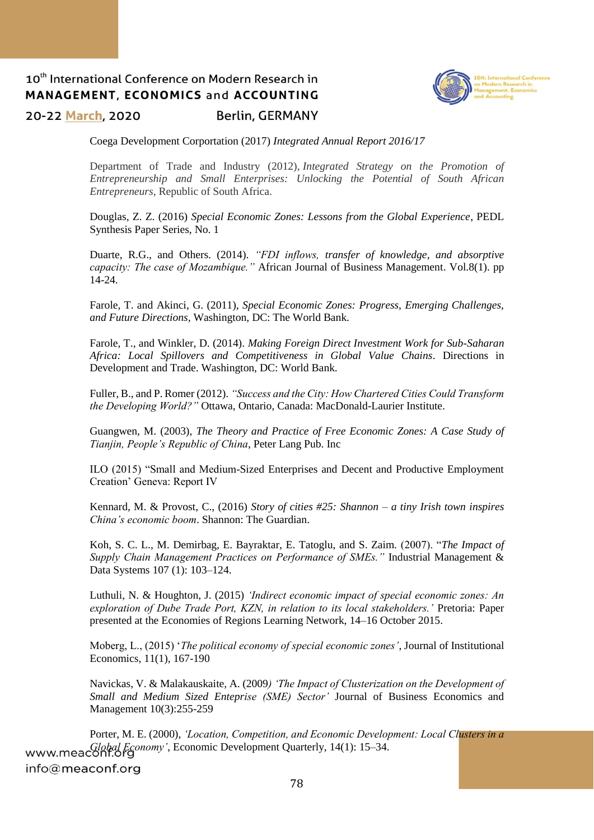

20-22 March, 2020

**Berlin, GERMANY** 

Coega Development Corportation (2017) *Integrated Annual Report 2016/17*

Department of Trade and Industry (2012), *Integrated Strategy on the Promotion of Entrepreneurship and Small Enterprises: Unlocking the Potential of South African Entrepreneurs*, Republic of South Africa.

Douglas, Z. Z. (2016) *Special Economic Zones: Lessons from the Global Experience*, PEDL Synthesis Paper Series, No. 1

Duarte, R.G., and Others. (2014). *"FDI inflows, transfer of knowledge, and absorptive capacity: The case of Mozambique."* African Journal of Business Management. Vol.8(1). pp 14-24.

Farole, T. and Akinci, G. (2011), *Special Economic Zones: Progress, Emerging Challenges, and Future Directions,* Washington, DC: The World Bank.

Farole, T., and Winkler, D. (2014). *Making Foreign Direct Investment Work for Sub-Saharan Africa: Local Spillovers and Competitiveness in Global Value Chains*. Directions in Development and Trade. Washington, DC: World Bank.

Fuller, B., and P. Romer (2012). *"Success and the City: How Chartered Cities Could Transform the Developing World?"* Ottawa, Ontario, Canada: MacDonald-Laurier Institute.

Guangwen, M. (2003), *The Theory and Practice of Free Economic Zones: A Case Study of Tianjin, People's Republic of China*, Peter Lang Pub. Inc

ILO (2015) "Small and Medium-Sized Enterprises and Decent and Productive Employment Creation' Geneva: Report IV

Kennard, M. & Provost, C., (2016) *Story of cities #25: Shannon – a tiny Irish town inspires China's economic boom*. Shannon: The Guardian.

Koh, S. C. L., M. Demirbag, E. Bayraktar, E. Tatoglu, and S. Zaim. (2007). "*The Impact of Supply Chain Management Practices on Performance of SMEs."* Industrial Management & Data Systems 107 (1): 103–124.

Luthuli, N. & Houghton, J. (2015) *'Indirect economic impact of special economic zones: An exploration of Dube Trade Port, KZN, in relation to its local stakeholders.'* Pretoria: Paper presented at the Economies of Regions Learning Network, 14–16 October 2015.

Moberg, L., (2015) '*The political economy of special economic zones'*, Journal of Institutional Economics, 11(1), 167-190

Navickas, V. & Malakauskaite, A. (2009*) 'The Impact of Clusterization on the Development of Small and Medium Sized Enteprise (SME) Sector'* Journal of Business Economics and Management 10(3):255-259

Porter, M. E. (2000), *'Location, Competition, and Economic Development: Local Clusters in a Global Economy'*, Economic Development Quarterly, 14(1): 15–34.info@meaconf.org